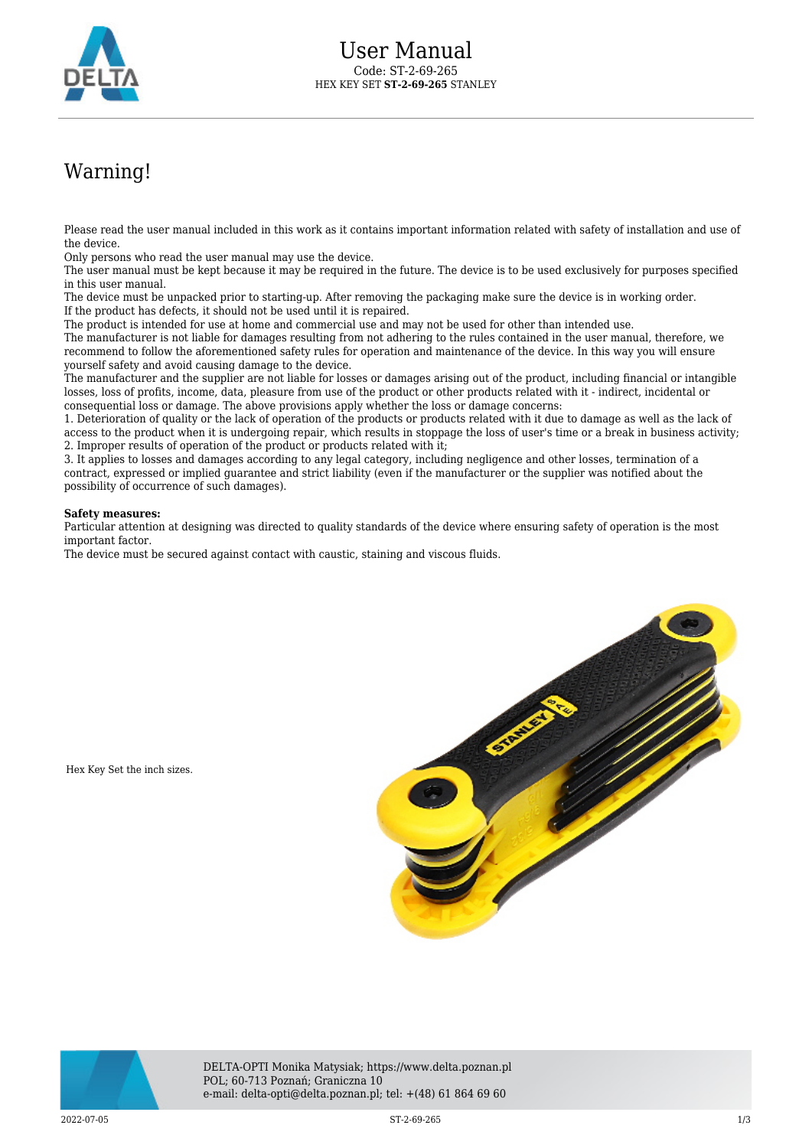

## Warning!

Please read the user manual included in this work as it contains important information related with safety of installation and use of the device.

Only persons who read the user manual may use the device.

The user manual must be kept because it may be required in the future. The device is to be used exclusively for purposes specified in this user manual.

The device must be unpacked prior to starting-up. After removing the packaging make sure the device is in working order. If the product has defects, it should not be used until it is repaired.

The product is intended for use at home and commercial use and may not be used for other than intended use.

The manufacturer is not liable for damages resulting from not adhering to the rules contained in the user manual, therefore, we recommend to follow the aforementioned safety rules for operation and maintenance of the device. In this way you will ensure yourself safety and avoid causing damage to the device.

The manufacturer and the supplier are not liable for losses or damages arising out of the product, including financial or intangible losses, loss of profits, income, data, pleasure from use of the product or other products related with it - indirect, incidental or consequential loss or damage. The above provisions apply whether the loss or damage concerns:

1. Deterioration of quality or the lack of operation of the products or products related with it due to damage as well as the lack of access to the product when it is undergoing repair, which results in stoppage the loss of user's time or a break in business activity; 2. Improper results of operation of the product or products related with it;

3. It applies to losses and damages according to any legal category, including negligence and other losses, termination of a contract, expressed or implied guarantee and strict liability (even if the manufacturer or the supplier was notified about the possibility of occurrence of such damages).

## **Safety measures:**

Hex Key Set the inch sizes.

Particular attention at designing was directed to quality standards of the device where ensuring safety of operation is the most important factor.

The device must be secured against contact with caustic, staining and viscous fluids.





DELTA-OPTI Monika Matysiak; https://www.delta.poznan.pl POL; 60-713 Poznań; Graniczna 10 e-mail: delta-opti@delta.poznan.pl; tel: +(48) 61 864 69 60

 $2022-07-05$  and  $1/3$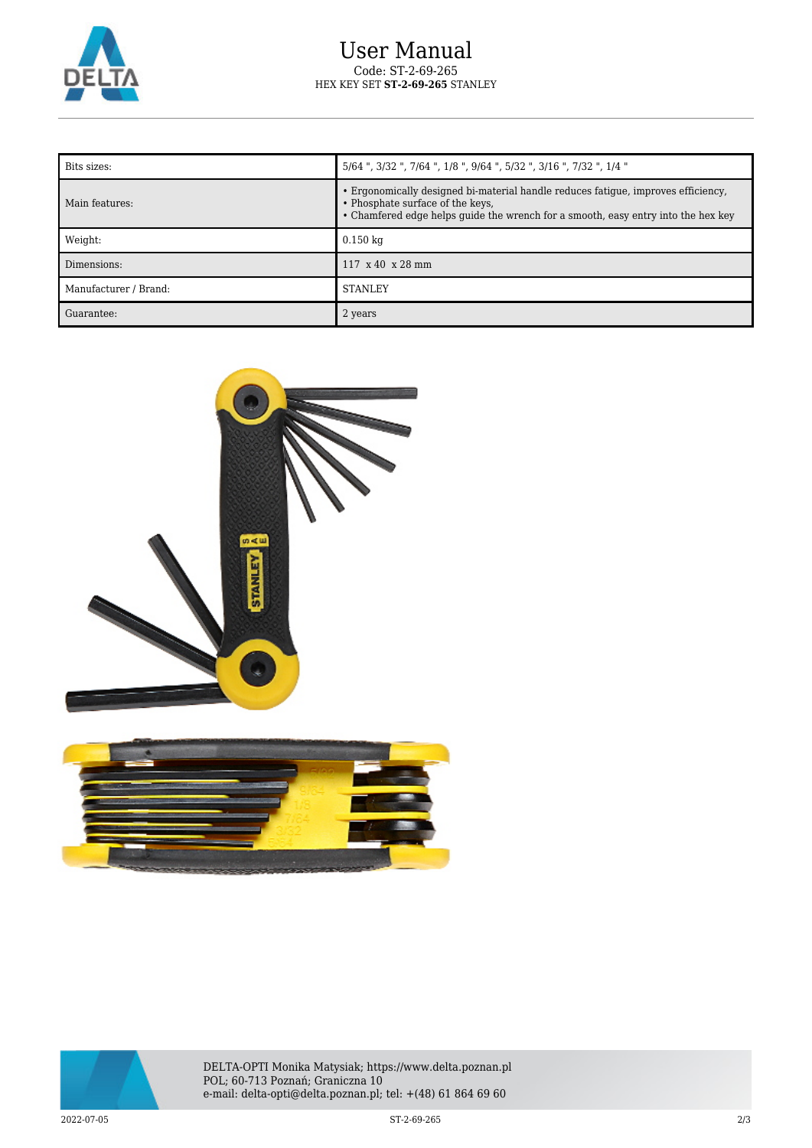

| Bits sizes:           | 5/64", 3/32", 7/64", 1/8", 9/64", 5/32", 3/16", 7/32", 1/4"                                                                                                                                                |
|-----------------------|------------------------------------------------------------------------------------------------------------------------------------------------------------------------------------------------------------|
| Main features:        | • Ergonomically designed bi-material handle reduces fatigue, improves efficiency,<br>• Phosphate surface of the keys,<br>• Chamfered edge helps guide the wrench for a smooth, easy entry into the hex key |
| Weight:               | $0.150$ kg                                                                                                                                                                                                 |
| Dimensions:           | $117 \times 40 \times 28 \text{ mm}$                                                                                                                                                                       |
| Manufacturer / Brand: | <b>STANLEY</b>                                                                                                                                                                                             |
| Guarantee:            | 2 years                                                                                                                                                                                                    |







DELTA-OPTI Monika Matysiak; https://www.delta.poznan.pl POL; 60-713 Poznań; Graniczna 10 e-mail: delta-opti@delta.poznan.pl; tel: +(48) 61 864 69 60

 $2022$ -07-05  $2/3$